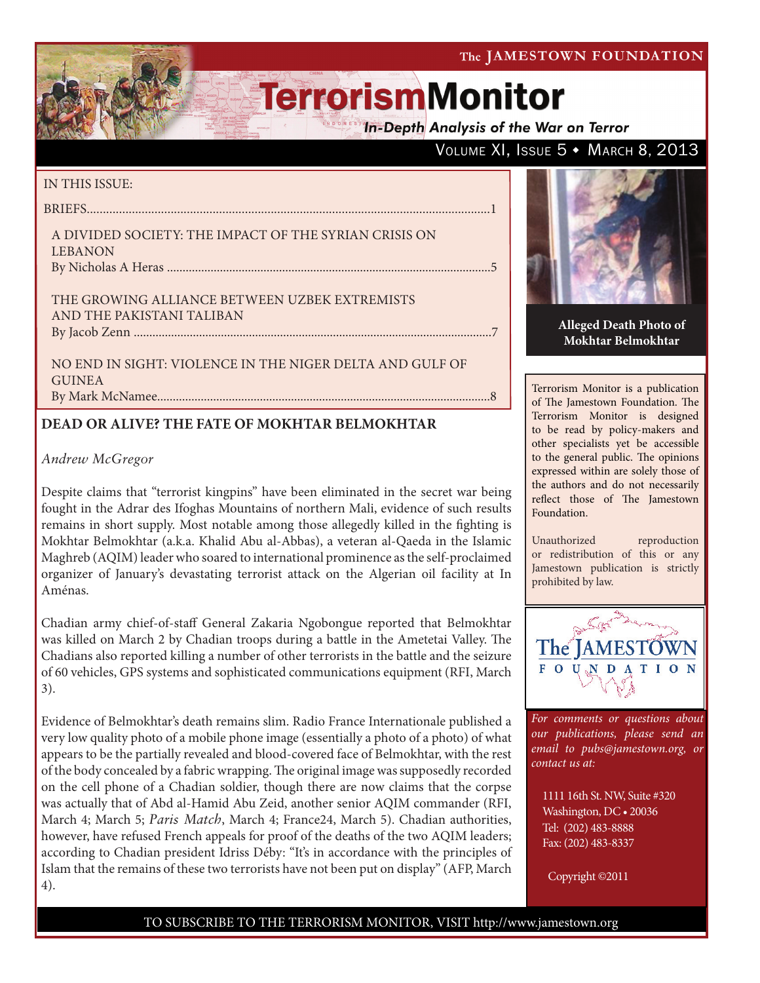The JAMESTOWN FOUNDATION

# **TerrorismMonitor**

**In-Depth Analysis of the War on Terror** 

### VOLUME XI, ISSUE 5 + MARCH 8, 2013

### IN THIS ISSUE:

briefs.............................................................................................................................1 A Divided Society: The Impact of the Syrian Crisis on **LEBANON** 

By Nicholas A Heras ........................................................................................................5

The Growing Alliance between Uzbek Extremists and the Pakistani Taliban by Jacob Zenn ...................................................................................................................7

No End in Sight: Violence in the Niger Delta and Gulf of **GUINEA** By Mark McNamee...........................................................................................................8

### **DEAD OR ALIVE? THE FATE OF MOKHTAR BELMOKHTAR**

### *Andrew McGregor*

Despite claims that "terrorist kingpins" have been eliminated in the secret war being fought in the Adrar des Ifoghas Mountains of northern Mali, evidence of such results remains in short supply. Most notable among those allegedly killed in the fighting is Mokhtar Belmokhtar (a.k.a. Khalid Abu al-Abbas), a veteran al-Qaeda in the Islamic Maghreb (AQIM) leader who soared to international prominence as the self-proclaimed organizer of January's devastating terrorist attack on the Algerian oil facility at In Aménas.

Chadian army chief-of-staff General Zakaria Ngobongue reported that Belmokhtar was killed on March 2 by Chadian troops during a battle in the Ametetai Valley. The Chadians also reported killing a number of other terrorists in the battle and the seizure of 60 vehicles, GPS systems and sophisticated communications equipment (RFI, March 3).

Evidence of Belmokhtar's death remains slim. Radio France Internationale published a very low quality photo of a mobile phone image (essentially a photo of a photo) of what appears to be the partially revealed and blood-covered face of Belmokhtar, with the rest of the body concealed by a fabric wrapping. The original image was supposedly recorded on the cell phone of a Chadian soldier, though there are now claims that the corpse was actually that of Abd al-Hamid Abu Zeid, another senior AQIM commander (RFI, March 4; March 5; *Paris Match*, March 4; France24, March 5). Chadian authorities, however, have refused French appeals for proof of the deaths of the two AQIM leaders; according to Chadian president Idriss Déby: "It's in accordance with the principles of Islam that the remains of these two terrorists have not been put on display" (AFP, March 4).



**Alleged Death Photo of Mokhtar Belmokhtar**

Terrorism Monitor is a publication of The Jamestown Foundation. The Terrorism Monitor is designed to be read by policy-makers and other specialists yet be accessible to the general public. The opinions expressed within are solely those of the authors and do not necessarily reflect those of The Jamestown Foundation.

Unauthorized reproduction or redistribution of this or any Jamestown publication is strictly prohibited by law.



*For comments or questions about our publications, please send an email to pubs@jamestown.org, or contact us at:* 

1111 16th St. NW, Suite #320 Washington, DC • 20036 Tel: (202) 483-8888 Fax: (202) 483-8337

Copyright ©2011

### TO SUBSCRIBE TO THE TERRORISM MONITOR, VISIT http://www.jamestown.org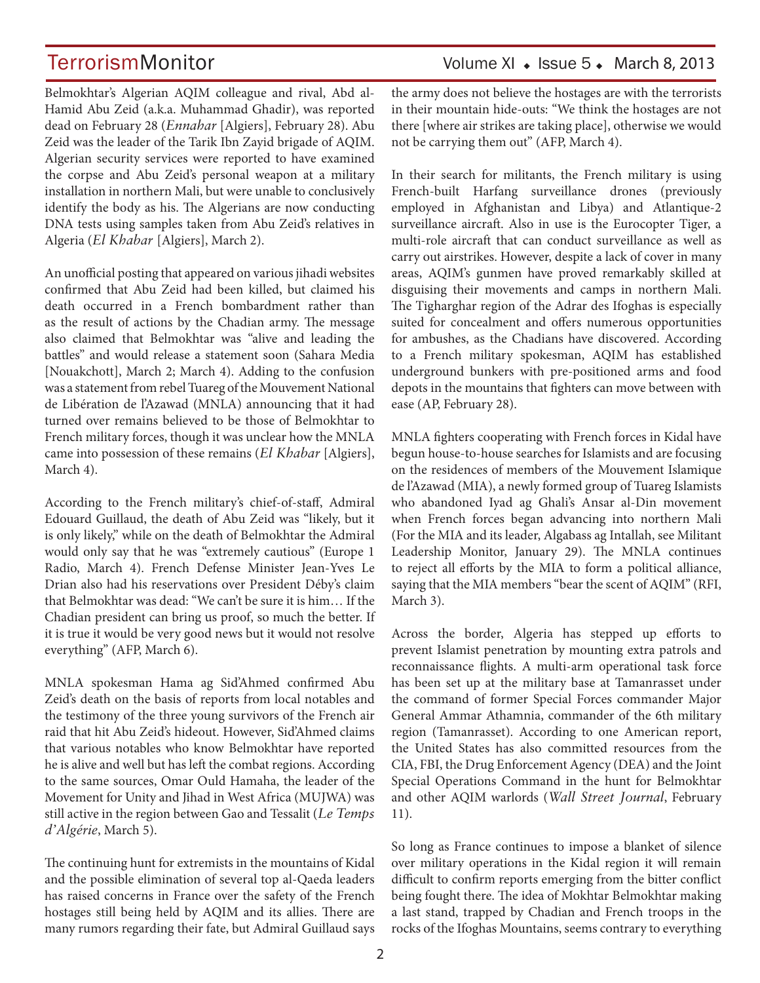Belmokhtar's Algerian AQIM colleague and rival, Abd al-Hamid Abu Zeid (a.k.a. Muhammad Ghadir), was reported dead on February 28 (*Ennahar* [Algiers], February 28). Abu Zeid was the leader of the Tarik Ibn Zayid brigade of AQIM. Algerian security services were reported to have examined the corpse and Abu Zeid's personal weapon at a military installation in northern Mali, but were unable to conclusively identify the body as his. The Algerians are now conducting DNA tests using samples taken from Abu Zeid's relatives in Algeria (*El Khabar* [Algiers], March 2).

An unofficial posting that appeared on various jihadi websites confirmed that Abu Zeid had been killed, but claimed his death occurred in a French bombardment rather than as the result of actions by the Chadian army. The message also claimed that Belmokhtar was "alive and leading the battles" and would release a statement soon (Sahara Media [Nouakchott], March 2; March 4). Adding to the confusion was a statement from rebel Tuareg of the Mouvement National de Libération de l'Azawad (MNLA) announcing that it had turned over remains believed to be those of Belmokhtar to French military forces, though it was unclear how the MNLA came into possession of these remains (*El Khabar* [Algiers], March 4).

According to the French military's chief-of-staff, Admiral Edouard Guillaud, the death of Abu Zeid was "likely, but it is only likely," while on the death of Belmokhtar the Admiral would only say that he was "extremely cautious" (Europe 1 Radio, March 4). French Defense Minister Jean-Yves Le Drian also had his reservations over President Déby's claim that Belmokhtar was dead: "We can't be sure it is him… If the Chadian president can bring us proof, so much the better. If it is true it would be very good news but it would not resolve everything" (AFP, March 6).

MNLA spokesman Hama ag Sid'Ahmed confirmed Abu Zeid's death on the basis of reports from local notables and the testimony of the three young survivors of the French air raid that hit Abu Zeid's hideout. However, Sid'Ahmed claims that various notables who know Belmokhtar have reported he is alive and well but has left the combat regions. According to the same sources, Omar Ould Hamaha, the leader of the Movement for Unity and Jihad in West Africa (MUJWA) was still active in the region between Gao and Tessalit (*Le Temps d'Algérie*, March 5).

The continuing hunt for extremists in the mountains of Kidal and the possible elimination of several top al-Qaeda leaders has raised concerns in France over the safety of the French hostages still being held by AQIM and its allies. There are many rumors regarding their fate, but Admiral Guillaud says

### TerrorismMonitor Volume XI + Issue 5 + March 8, 2013

the army does not believe the hostages are with the terrorists in their mountain hide-outs: "We think the hostages are not there [where air strikes are taking place], otherwise we would not be carrying them out" (AFP, March 4).

In their search for militants, the French military is using French-built Harfang surveillance drones (previously employed in Afghanistan and Libya) and Atlantique-2 surveillance aircraft. Also in use is the Eurocopter Tiger, a multi-role aircraft that can conduct surveillance as well as carry out airstrikes. However, despite a lack of cover in many areas, AQIM's gunmen have proved remarkably skilled at disguising their movements and camps in northern Mali. The Tigharghar region of the Adrar des Ifoghas is especially suited for concealment and offers numerous opportunities for ambushes, as the Chadians have discovered. According to a French military spokesman, AQIM has established underground bunkers with pre-positioned arms and food depots in the mountains that fighters can move between with ease (AP, February 28).

MNLA fighters cooperating with French forces in Kidal have begun house-to-house searches for Islamists and are focusing on the residences of members of the Mouvement Islamique de l'Azawad (MIA), a newly formed group of Tuareg Islamists who abandoned Iyad ag Ghali's Ansar al-Din movement when French forces began advancing into northern Mali (For the MIA and its leader, Algabass ag Intallah, see Militant Leadership Monitor, January 29). The MNLA continues to reject all efforts by the MIA to form a political alliance, saying that the MIA members "bear the scent of AQIM" (RFI, March 3).

Across the border, Algeria has stepped up efforts to prevent Islamist penetration by mounting extra patrols and reconnaissance flights. A multi-arm operational task force has been set up at the military base at Tamanrasset under the command of former Special Forces commander Major General Ammar Athamnia, commander of the 6th military region (Tamanrasset). According to one American report, the United States has also committed resources from the CIA, FBI, the Drug Enforcement Agency (DEA) and the Joint Special Operations Command in the hunt for Belmokhtar and other AQIM warlords (*Wall Street Journal*, February 11).

So long as France continues to impose a blanket of silence over military operations in the Kidal region it will remain difficult to confirm reports emerging from the bitter conflict being fought there. The idea of Mokhtar Belmokhtar making a last stand, trapped by Chadian and French troops in the rocks of the Ifoghas Mountains, seems contrary to everything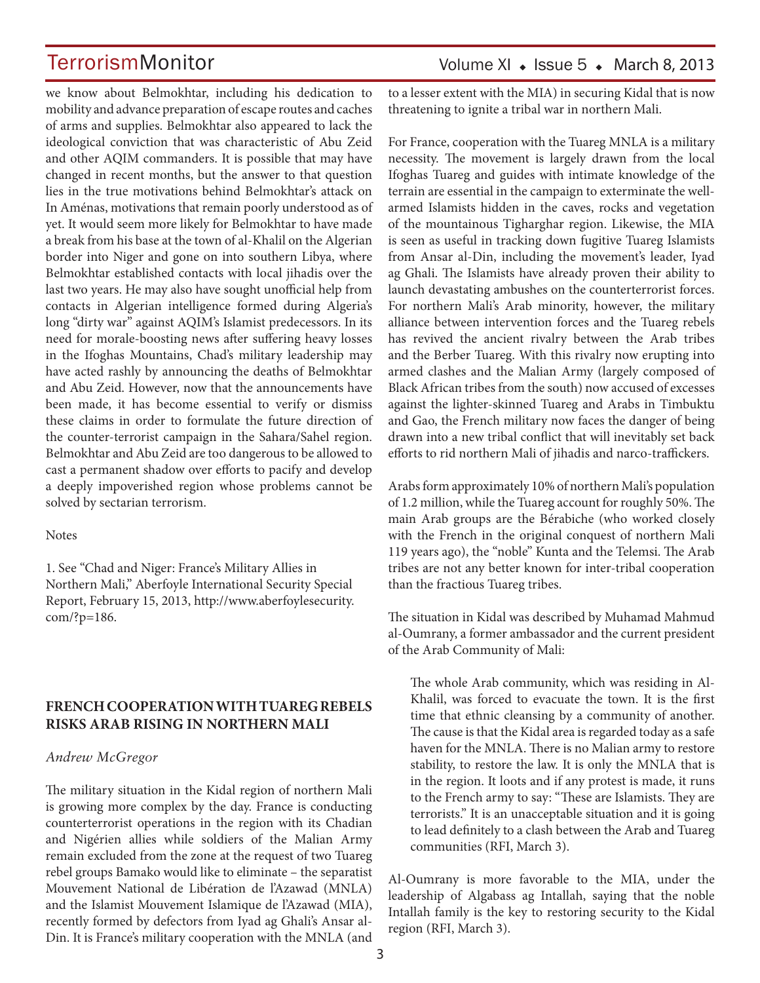we know about Belmokhtar, including his dedication to mobility and advance preparation of escape routes and caches of arms and supplies. Belmokhtar also appeared to lack the ideological conviction that was characteristic of Abu Zeid and other AQIM commanders. It is possible that may have changed in recent months, but the answer to that question lies in the true motivations behind Belmokhtar's attack on In Aménas, motivations that remain poorly understood as of yet. It would seem more likely for Belmokhtar to have made a break from his base at the town of al-Khalil on the Algerian border into Niger and gone on into southern Libya, where Belmokhtar established contacts with local jihadis over the last two years. He may also have sought unofficial help from contacts in Algerian intelligence formed during Algeria's long "dirty war" against AQIM's Islamist predecessors. In its need for morale-boosting news after suffering heavy losses in the Ifoghas Mountains, Chad's military leadership may have acted rashly by announcing the deaths of Belmokhtar and Abu Zeid. However, now that the announcements have been made, it has become essential to verify or dismiss these claims in order to formulate the future direction of the counter-terrorist campaign in the Sahara/Sahel region. Belmokhtar and Abu Zeid are too dangerous to be allowed to cast a permanent shadow over efforts to pacify and develop a deeply impoverished region whose problems cannot be solved by sectarian terrorism.

#### **Notes**

1. See "Chad and Niger: France's Military Allies in Northern Mali," Aberfoyle International Security Special Report, February 15, 2013, http://www.aberfoylesecurity. com/?p=186.

### **FRENCH COOPERATION WITH TUAREG REBELS RISKS ARAB RISING IN NORTHERN MALI**

#### *Andrew McGregor*

The military situation in the Kidal region of northern Mali is growing more complex by the day. France is conducting counterterrorist operations in the region with its Chadian and Nigérien allies while soldiers of the Malian Army remain excluded from the zone at the request of two Tuareg rebel groups Bamako would like to eliminate – the separatist Mouvement National de Libération de l'Azawad (MNLA) and the Islamist Mouvement Islamique de l'Azawad (MIA), recently formed by defectors from Iyad ag Ghali's Ansar al-Din. It is France's military cooperation with the MNLA (and to a lesser extent with the MIA) in securing Kidal that is now threatening to ignite a tribal war in northern Mali.

For France, cooperation with the Tuareg MNLA is a military necessity. The movement is largely drawn from the local Ifoghas Tuareg and guides with intimate knowledge of the terrain are essential in the campaign to exterminate the wellarmed Islamists hidden in the caves, rocks and vegetation of the mountainous Tigharghar region. Likewise, the MIA is seen as useful in tracking down fugitive Tuareg Islamists from Ansar al-Din, including the movement's leader, Iyad ag Ghali. The Islamists have already proven their ability to launch devastating ambushes on the counterterrorist forces. For northern Mali's Arab minority, however, the military alliance between intervention forces and the Tuareg rebels has revived the ancient rivalry between the Arab tribes and the Berber Tuareg. With this rivalry now erupting into armed clashes and the Malian Army (largely composed of Black African tribes from the south) now accused of excesses against the lighter-skinned Tuareg and Arabs in Timbuktu and Gao, the French military now faces the danger of being drawn into a new tribal conflict that will inevitably set back efforts to rid northern Mali of jihadis and narco-traffickers.

Arabs form approximately 10% of northern Mali's population of 1.2 million, while the Tuareg account for roughly 50%. The main Arab groups are the Bérabiche (who worked closely with the French in the original conquest of northern Mali 119 years ago), the "noble" Kunta and the Telemsi. The Arab tribes are not any better known for inter-tribal cooperation than the fractious Tuareg tribes.

The situation in Kidal was described by Muhamad Mahmud al-Oumrany, a former ambassador and the current president of the Arab Community of Mali:

The whole Arab community, which was residing in Al-Khalil, was forced to evacuate the town. It is the first time that ethnic cleansing by a community of another. The cause is that the Kidal area is regarded today as a safe haven for the MNLA. There is no Malian army to restore stability, to restore the law. It is only the MNLA that is in the region. It loots and if any protest is made, it runs to the French army to say: "These are Islamists. They are terrorists." It is an unacceptable situation and it is going to lead definitely to a clash between the Arab and Tuareg communities (RFI, March 3).

Al-Oumrany is more favorable to the MIA, under the leadership of Algabass ag Intallah, saying that the noble Intallah family is the key to restoring security to the Kidal region (RFI, March 3).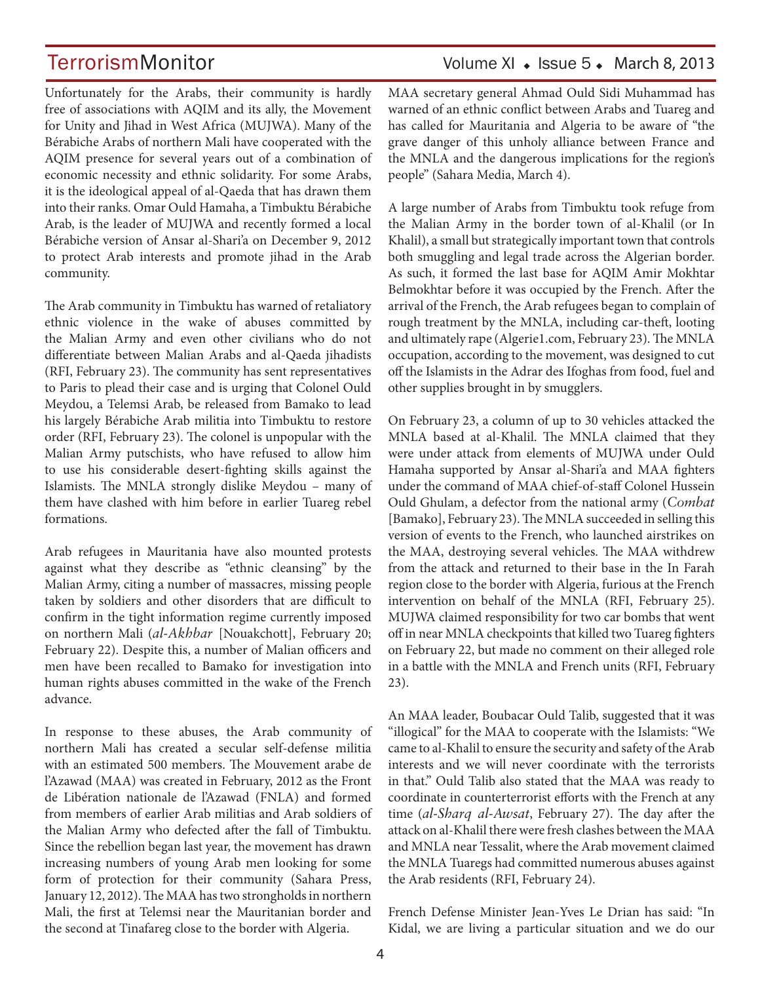Unfortunately for the Arabs, their community is hardly free of associations with AQIM and its ally, the Movement for Unity and Jihad in West Africa (MUJWA). Many of the Bérabiche Arabs of northern Mali have cooperated with the AQIM presence for several years out of a combination of economic necessity and ethnic solidarity. For some Arabs, it is the ideological appeal of al-Qaeda that has drawn them into their ranks. Omar Ould Hamaha, a Timbuktu Bérabiche Arab, is the leader of MUJWA and recently formed a local Bérabiche version of Ansar al-Shari'a on December 9, 2012 to protect Arab interests and promote jihad in the Arab community.

The Arab community in Timbuktu has warned of retaliatory ethnic violence in the wake of abuses committed by the Malian Army and even other civilians who do not differentiate between Malian Arabs and al-Qaeda jihadists (RFI, February 23). The community has sent representatives to Paris to plead their case and is urging that Colonel Ould Meydou, a Telemsi Arab, be released from Bamako to lead his largely Bérabiche Arab militia into Timbuktu to restore order (RFI, February 23). The colonel is unpopular with the Malian Army putschists, who have refused to allow him to use his considerable desert-fighting skills against the Islamists. The MNLA strongly dislike Meydou – many of them have clashed with him before in earlier Tuareg rebel formations.

Arab refugees in Mauritania have also mounted protests against what they describe as "ethnic cleansing" by the Malian Army, citing a number of massacres, missing people taken by soldiers and other disorders that are difficult to confirm in the tight information regime currently imposed on northern Mali (*al-Akhbar* [Nouakchott], February 20; February 22). Despite this, a number of Malian officers and men have been recalled to Bamako for investigation into human rights abuses committed in the wake of the French advance.

In response to these abuses, the Arab community of northern Mali has created a secular self-defense militia with an estimated 500 members. The Mouvement arabe de l'Azawad (MAA) was created in February, 2012 as the Front de Libération nationale de l'Azawad (FNLA) and formed from members of earlier Arab militias and Arab soldiers of the Malian Army who defected after the fall of Timbuktu. Since the rebellion began last year, the movement has drawn increasing numbers of young Arab men looking for some form of protection for their community (Sahara Press, January 12, 2012). The MAA has two strongholds in northern Mali, the first at Telemsi near the Mauritanian border and the second at Tinafareg close to the border with Algeria.

### TerrorismMonitor Volume XI + Issue 5 + March 8, 2013

MAA secretary general Ahmad Ould Sidi Muhammad has warned of an ethnic conflict between Arabs and Tuareg and has called for Mauritania and Algeria to be aware of "the grave danger of this unholy alliance between France and the MNLA and the dangerous implications for the region's people" (Sahara Media, March 4).

A large number of Arabs from Timbuktu took refuge from the Malian Army in the border town of al-Khalil (or In Khalil), a small but strategically important town that controls both smuggling and legal trade across the Algerian border. As such, it formed the last base for AQIM Amir Mokhtar Belmokhtar before it was occupied by the French. After the arrival of the French, the Arab refugees began to complain of rough treatment by the MNLA, including car-theft, looting and ultimately rape (Algerie1.com, February 23). The MNLA occupation, according to the movement, was designed to cut off the Islamists in the Adrar des Ifoghas from food, fuel and other supplies brought in by smugglers.

On February 23, a column of up to 30 vehicles attacked the MNLA based at al-Khalil. The MNLA claimed that they were under attack from elements of MUJWA under Ould Hamaha supported by Ansar al-Shari'a and MAA fighters under the command of MAA chief-of-staff Colonel Hussein Ould Ghulam, a defector from the national army (*Combat*  [Bamako], February 23). The MNLA succeeded in selling this version of events to the French, who launched airstrikes on the MAA, destroying several vehicles. The MAA withdrew from the attack and returned to their base in the In Farah region close to the border with Algeria, furious at the French intervention on behalf of the MNLA (RFI, February 25). MUJWA claimed responsibility for two car bombs that went off in near MNLA checkpoints that killed two Tuareg fighters on February 22, but made no comment on their alleged role in a battle with the MNLA and French units (RFI, February 23).

An MAA leader, Boubacar Ould Talib, suggested that it was "illogical" for the MAA to cooperate with the Islamists: "We came to al-Khalil to ensure the security and safety of the Arab interests and we will never coordinate with the terrorists in that." Ould Talib also stated that the MAA was ready to coordinate in counterterrorist efforts with the French at any time (*al-Sharq al-Awsat*, February 27). The day after the attack on al-Khalil there were fresh clashes between the MAA and MNLA near Tessalit, where the Arab movement claimed the MNLA Tuaregs had committed numerous abuses against the Arab residents (RFI, February 24).

French Defense Minister Jean-Yves Le Drian has said: "In Kidal, we are living a particular situation and we do our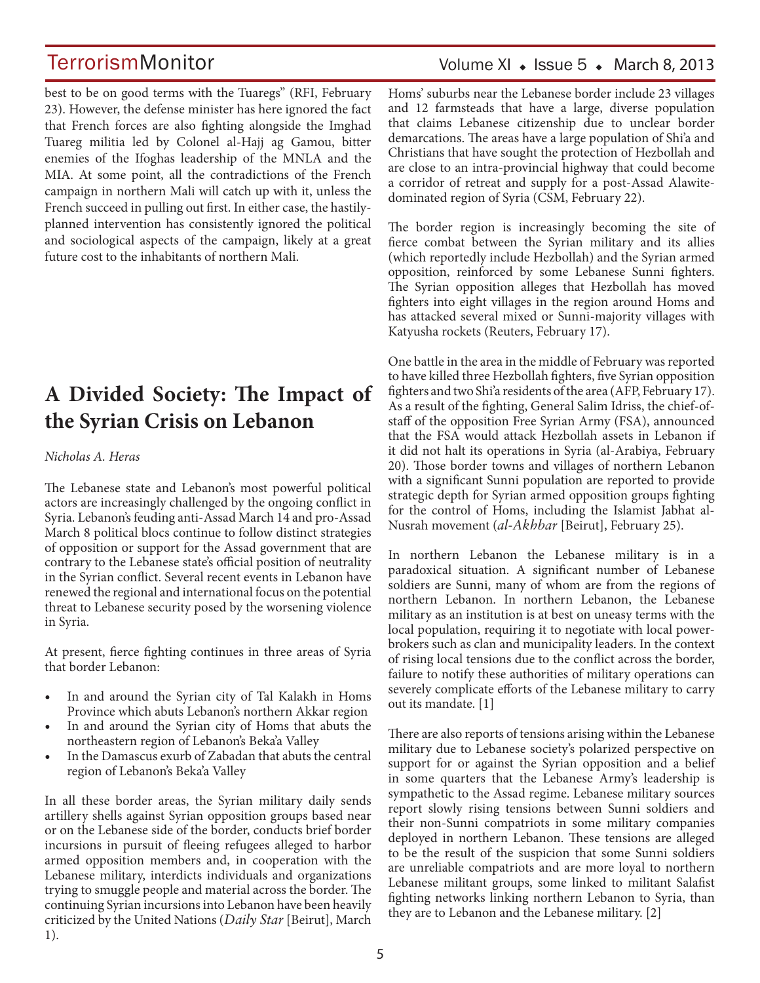best to be on good terms with the Tuaregs" (RFI, February 23). However, the defense minister has here ignored the fact that French forces are also fighting alongside the Imghad Tuareg militia led by Colonel al-Hajj ag Gamou, bitter enemies of the Ifoghas leadership of the MNLA and the MIA. At some point, all the contradictions of the French campaign in northern Mali will catch up with it, unless the French succeed in pulling out first. In either case, the hastilyplanned intervention has consistently ignored the political and sociological aspects of the campaign, likely at a great future cost to the inhabitants of northern Mali.

## **A Divided Society: The Impact of the Syrian Crisis on Lebanon**

#### *Nicholas A. Heras*

The Lebanese state and Lebanon's most powerful political actors are increasingly challenged by the ongoing conflict in Syria. Lebanon's feuding anti-Assad March 14 and pro-Assad March 8 political blocs continue to follow distinct strategies of opposition or support for the Assad government that are contrary to the Lebanese state's official position of neutrality in the Syrian conflict. Several recent events in Lebanon have renewed the regional and international focus on the potential threat to Lebanese security posed by the worsening violence in Syria.

At present, fierce fighting continues in three areas of Syria that border Lebanon:

- In and around the Syrian city of Tal Kalakh in Homs Province which abuts Lebanon's northern Akkar region
- In and around the Syrian city of Homs that abuts the northeastern region of Lebanon's Beka'a Valley
- In the Damascus exurb of Zabadan that abuts the central region of Lebanon's Beka'a Valley

In all these border areas, the Syrian military daily sends artillery shells against Syrian opposition groups based near or on the Lebanese side of the border, conducts brief border incursions in pursuit of fleeing refugees alleged to harbor armed opposition members and, in cooperation with the Lebanese military, interdicts individuals and organizations trying to smuggle people and material across the border. The continuing Syrian incursions into Lebanon have been heavily criticized by the United Nations (*Daily Star* [Beirut], March 1).

### Volume XI  $\bullet$  Issue 5  $\bullet$  March 8, 2013

Homs' suburbs near the Lebanese border include 23 villages and 12 farmsteads that have a large, diverse population that claims Lebanese citizenship due to unclear border demarcations. The areas have a large population of Shi'a and Christians that have sought the protection of Hezbollah and are close to an intra-provincial highway that could become a corridor of retreat and supply for a post-Assad Alawitedominated region of Syria (CSM, February 22).

The border region is increasingly becoming the site of fierce combat between the Syrian military and its allies (which reportedly include Hezbollah) and the Syrian armed opposition, reinforced by some Lebanese Sunni fighters. The Syrian opposition alleges that Hezbollah has moved fighters into eight villages in the region around Homs and has attacked several mixed or Sunni-majority villages with Katyusha rockets (Reuters, February 17).

One battle in the area in the middle of February was reported to have killed three Hezbollah fighters, five Syrian opposition fighters and two Shi'a residents of the area (AFP, February 17). As a result of the fighting, General Salim Idriss, the chief-ofstaff of the opposition Free Syrian Army (FSA), announced that the FSA would attack Hezbollah assets in Lebanon if it did not halt its operations in Syria (al-Arabiya, February 20). Those border towns and villages of northern Lebanon with a significant Sunni population are reported to provide strategic depth for Syrian armed opposition groups fighting for the control of Homs, including the Islamist Jabhat al-Nusrah movement (*al-Akhbar* [Beirut], February 25).

In northern Lebanon the Lebanese military is in a paradoxical situation. A significant number of Lebanese soldiers are Sunni, many of whom are from the regions of northern Lebanon. In northern Lebanon, the Lebanese military as an institution is at best on uneasy terms with the local population, requiring it to negotiate with local powerbrokers such as clan and municipality leaders. In the context of rising local tensions due to the conflict across the border, failure to notify these authorities of military operations can severely complicate efforts of the Lebanese military to carry out its mandate. [1]

There are also reports of tensions arising within the Lebanese military due to Lebanese society's polarized perspective on support for or against the Syrian opposition and a belief in some quarters that the Lebanese Army's leadership is sympathetic to the Assad regime. Lebanese military sources report slowly rising tensions between Sunni soldiers and their non-Sunni compatriots in some military companies deployed in northern Lebanon. These tensions are alleged to be the result of the suspicion that some Sunni soldiers are unreliable compatriots and are more loyal to northern Lebanese militant groups, some linked to militant Salafist fighting networks linking northern Lebanon to Syria, than they are to Lebanon and the Lebanese military. [2]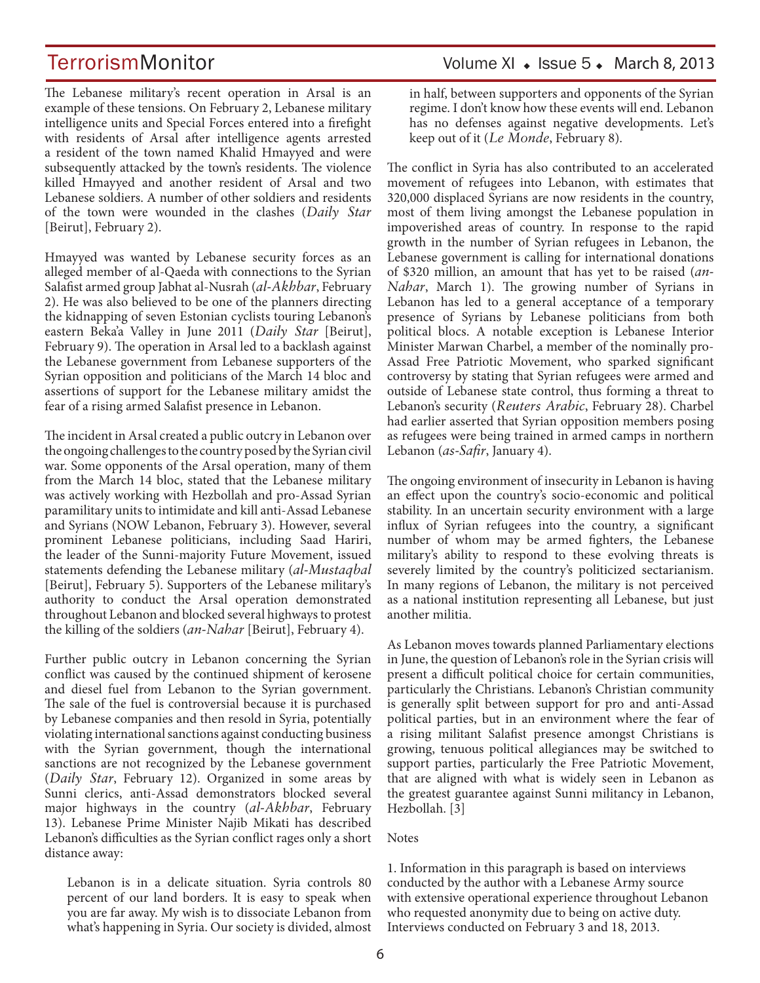The Lebanese military's recent operation in Arsal is an example of these tensions. On February 2, Lebanese military intelligence units and Special Forces entered into a firefight with residents of Arsal after intelligence agents arrested a resident of the town named Khalid Hmayyed and were subsequently attacked by the town's residents. The violence killed Hmayyed and another resident of Arsal and two Lebanese soldiers. A number of other soldiers and residents of the town were wounded in the clashes (*Daily Star* [Beirut], February 2).

Hmayyed was wanted by Lebanese security forces as an alleged member of al-Qaeda with connections to the Syrian Salafist armed group Jabhat al-Nusrah (*al-Akhbar*, February 2). He was also believed to be one of the planners directing the kidnapping of seven Estonian cyclists touring Lebanon's eastern Beka'a Valley in June 2011 (*Daily Star* [Beirut], February 9). The operation in Arsal led to a backlash against the Lebanese government from Lebanese supporters of the Syrian opposition and politicians of the March 14 bloc and assertions of support for the Lebanese military amidst the fear of a rising armed Salafist presence in Lebanon.

The incident in Arsal created a public outcry in Lebanon over the ongoing challenges to the country posed by the Syrian civil war. Some opponents of the Arsal operation, many of them from the March 14 bloc, stated that the Lebanese military was actively working with Hezbollah and pro-Assad Syrian paramilitary units to intimidate and kill anti-Assad Lebanese and Syrians (NOW Lebanon, February 3). However, several prominent Lebanese politicians, including Saad Hariri, the leader of the Sunni-majority Future Movement, issued statements defending the Lebanese military (*al-Mustaqbal*  [Beirut], February 5). Supporters of the Lebanese military's authority to conduct the Arsal operation demonstrated throughout Lebanon and blocked several highways to protest the killing of the soldiers (*an-Nahar* [Beirut], February 4).

Further public outcry in Lebanon concerning the Syrian conflict was caused by the continued shipment of kerosene and diesel fuel from Lebanon to the Syrian government. The sale of the fuel is controversial because it is purchased by Lebanese companies and then resold in Syria, potentially violating international sanctions against conducting business with the Syrian government, though the international sanctions are not recognized by the Lebanese government (*Daily Star*, February 12). Organized in some areas by Sunni clerics, anti-Assad demonstrators blocked several major highways in the country (*al-Akhbar*, February 13). Lebanese Prime Minister Najib Mikati has described Lebanon's difficulties as the Syrian conflict rages only a short distance away:

Lebanon is in a delicate situation. Syria controls 80 percent of our land borders. It is easy to speak when you are far away. My wish is to dissociate Lebanon from what's happening in Syria. Our society is divided, almost

### TerrorismMonitor Volume XI • Issue 5 • March 8, 2013

in half, between supporters and opponents of the Syrian regime. I don't know how these events will end. Lebanon has no defenses against negative developments. Let's keep out of it (*Le Monde*, February 8).

The conflict in Syria has also contributed to an accelerated movement of refugees into Lebanon, with estimates that 320,000 displaced Syrians are now residents in the country, most of them living amongst the Lebanese population in impoverished areas of country. In response to the rapid growth in the number of Syrian refugees in Lebanon, the Lebanese government is calling for international donations of \$320 million, an amount that has yet to be raised (*an-Nahar*, March 1). The growing number of Syrians in Lebanon has led to a general acceptance of a temporary presence of Syrians by Lebanese politicians from both political blocs. A notable exception is Lebanese Interior Minister Marwan Charbel, a member of the nominally pro-Assad Free Patriotic Movement, who sparked significant controversy by stating that Syrian refugees were armed and outside of Lebanese state control, thus forming a threat to Lebanon's security (*Reuters Arabic*, February 28). Charbel had earlier asserted that Syrian opposition members posing as refugees were being trained in armed camps in northern Lebanon (*as-Safir*, January 4).

The ongoing environment of insecurity in Lebanon is having an effect upon the country's socio-economic and political stability. In an uncertain security environment with a large influx of Syrian refugees into the country, a significant number of whom may be armed fighters, the Lebanese military's ability to respond to these evolving threats is severely limited by the country's politicized sectarianism. In many regions of Lebanon, the military is not perceived as a national institution representing all Lebanese, but just another militia.

As Lebanon moves towards planned Parliamentary elections in June, the question of Lebanon's role in the Syrian crisis will present a difficult political choice for certain communities, particularly the Christians. Lebanon's Christian community is generally split between support for pro and anti-Assad political parties, but in an environment where the fear of a rising militant Salafist presence amongst Christians is growing, tenuous political allegiances may be switched to support parties, particularly the Free Patriotic Movement, that are aligned with what is widely seen in Lebanon as the greatest guarantee against Sunni militancy in Lebanon, Hezbollah. [3]

#### Notes

1. Information in this paragraph is based on interviews conducted by the author with a Lebanese Army source with extensive operational experience throughout Lebanon who requested anonymity due to being on active duty. Interviews conducted on February 3 and 18, 2013.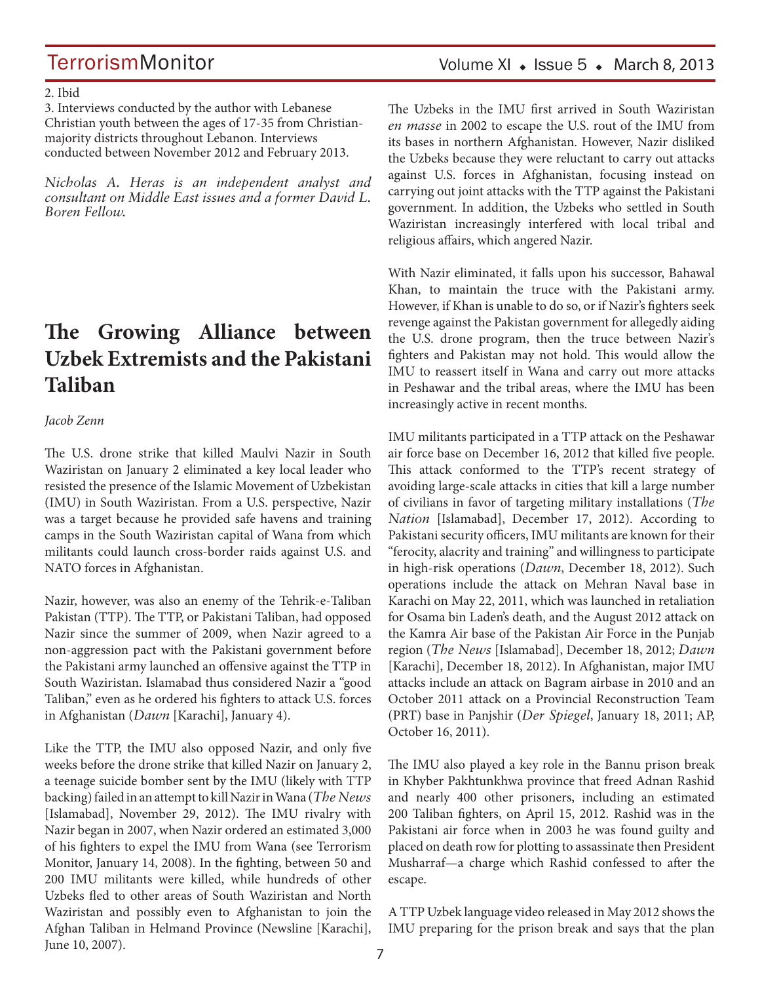#### 2. Ibid

3. Interviews conducted by the author with Lebanese Christian youth between the ages of 17-35 from Christianmajority districts throughout Lebanon. Interviews conducted between November 2012 and February 2013.

*Nicholas A. Heras is an independent analyst and consultant on Middle East issues and a former David L. Boren Fellow.*

## **The Growing Alliance between Uzbek Extremists and the Pakistani Taliban**

#### *Jacob Zenn*

The U.S. drone strike that killed Maulvi Nazir in South Waziristan on January 2 eliminated a key local leader who resisted the presence of the Islamic Movement of Uzbekistan (IMU) in South Waziristan. From a U.S. perspective, Nazir was a target because he provided safe havens and training camps in the South Waziristan capital of Wana from which militants could launch cross-border raids against U.S. and NATO forces in Afghanistan.

Nazir, however, was also an enemy of the Tehrik-e-Taliban Pakistan (TTP). The TTP, or Pakistani Taliban, had opposed Nazir since the summer of 2009, when Nazir agreed to a non-aggression pact with the Pakistani government before the Pakistani army launched an offensive against the TTP in South Waziristan. Islamabad thus considered Nazir a "good Taliban," even as he ordered his fighters to attack U.S. forces in Afghanistan (*Dawn* [Karachi], January 4).

Like the TTP, the IMU also opposed Nazir, and only five weeks before the drone strike that killed Nazir on January 2, a teenage suicide bomber sent by the IMU (likely with TTP backing) failed in an attempt to kill Nazir in Wana (*The News*  [Islamabad], November 29, 2012). The IMU rivalry with Nazir began in 2007, when Nazir ordered an estimated 3,000 of his fighters to expel the IMU from Wana (see Terrorism Monitor, January 14, 2008). In the fighting, between 50 and 200 IMU militants were killed, while hundreds of other Uzbeks fled to other areas of South Waziristan and North Waziristan and possibly even to Afghanistan to join the Afghan Taliban in Helmand Province (Newsline [Karachi], June 10, 2007).

### Volume XI  $\bullet$  Issue 5  $\bullet$  March 8, 2013

The Uzbeks in the IMU first arrived in South Waziristan *en masse* in 2002 to escape the U.S. rout of the IMU from its bases in northern Afghanistan. However, Nazir disliked the Uzbeks because they were reluctant to carry out attacks against U.S. forces in Afghanistan, focusing instead on carrying out joint attacks with the TTP against the Pakistani government. In addition, the Uzbeks who settled in South Waziristan increasingly interfered with local tribal and religious affairs, which angered Nazir.

With Nazir eliminated, it falls upon his successor, Bahawal Khan, to maintain the truce with the Pakistani army. However, if Khan is unable to do so, or if Nazir's fighters seek revenge against the Pakistan government for allegedly aiding the U.S. drone program, then the truce between Nazir's fighters and Pakistan may not hold. This would allow the IMU to reassert itself in Wana and carry out more attacks in Peshawar and the tribal areas, where the IMU has been increasingly active in recent months.

IMU militants participated in a TTP attack on the Peshawar air force base on December 16, 2012 that killed five people. This attack conformed to the TTP's recent strategy of avoiding large-scale attacks in cities that kill a large number of civilians in favor of targeting military installations (*The Nation* [Islamabad], December 17, 2012). According to Pakistani security officers, IMU militants are known for their "ferocity, alacrity and training" and willingness to participate in high-risk operations (*Dawn*, December 18, 2012). Such operations include the attack on Mehran Naval base in Karachi on May 22, 2011, which was launched in retaliation for Osama bin Laden's death, and the August 2012 attack on the Kamra Air base of the Pakistan Air Force in the Punjab region (*The News* [Islamabad], December 18, 2012; *Dawn*  [Karachi], December 18, 2012). In Afghanistan, major IMU attacks include an attack on Bagram airbase in 2010 and an October 2011 attack on a Provincial Reconstruction Team (PRT) base in Panjshir (*Der Spiegel*, January 18, 2011; AP, October 16, 2011).

The IMU also played a key role in the Bannu prison break in Khyber Pakhtunkhwa province that freed Adnan Rashid and nearly 400 other prisoners, including an estimated 200 Taliban fighters, on April 15, 2012. Rashid was in the Pakistani air force when in 2003 he was found guilty and placed on death row for plotting to assassinate then President Musharraf—a charge which Rashid confessed to after the escape.

A TTP Uzbek language video released in May 2012 shows the IMU preparing for the prison break and says that the plan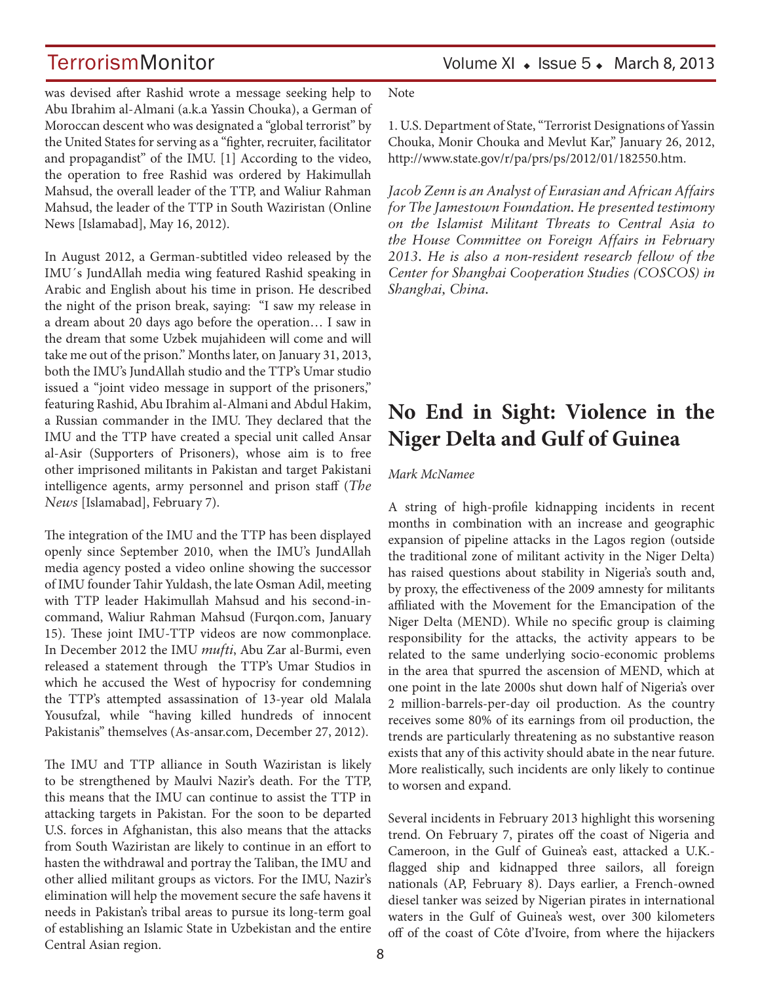TerrorismMonitor Volume XI + Issue 5 + March 8, 2013

was devised after Rashid wrote a message seeking help to Abu Ibrahim al-Almani (a.k.a Yassin Chouka), a German of Moroccan descent who was designated a "global terrorist" by the United States for serving as a "fighter, recruiter, facilitator and propagandist" of the IMU. [1] According to the video, the operation to free Rashid was ordered by Hakimullah Mahsud, the overall leader of the TTP, and Waliur Rahman Mahsud, the leader of the TTP in South Waziristan (Online News [Islamabad], May 16, 2012).

In August 2012, a German-subtitled video released by the IMU´s JundAllah media wing featured Rashid speaking in Arabic and English about his time in prison. He described the night of the prison break, saying: "I saw my release in a dream about 20 days ago before the operation… I saw in the dream that some Uzbek mujahideen will come and will take me out of the prison." Months later, on January 31, 2013, both the IMU's JundAllah studio and the TTP's Umar studio issued a "joint video message in support of the prisoners," featuring Rashid, Abu Ibrahim al-Almani and Abdul Hakim, a Russian commander in the IMU. They declared that the IMU and the TTP have created a special unit called Ansar al-Asir (Supporters of Prisoners), whose aim is to free other imprisoned militants in Pakistan and target Pakistani intelligence agents, army personnel and prison staff (*The News* [Islamabad], February 7).

The integration of the IMU and the TTP has been displayed openly since September 2010, when the IMU's JundAllah media agency posted a video online showing the successor of IMU founder Tahir Yuldash, the late Osman Adil, meeting with TTP leader Hakimullah Mahsud and his second-incommand, Waliur Rahman Mahsud (Furqon.com, January 15). These joint IMU-TTP videos are now commonplace. In December 2012 the IMU *mufti*, Abu Zar al-Burmi, even released a statement through the TTP's Umar Studios in which he accused the West of hypocrisy for condemning the TTP's attempted assassination of 13-year old Malala Yousufzal, while "having killed hundreds of innocent Pakistanis" themselves (As-ansar.com, December 27, 2012).

The IMU and TTP alliance in South Waziristan is likely to be strengthened by Maulvi Nazir's death. For the TTP, this means that the IMU can continue to assist the TTP in attacking targets in Pakistan. For the soon to be departed U.S. forces in Afghanistan, this also means that the attacks from South Waziristan are likely to continue in an effort to hasten the withdrawal and portray the Taliban, the IMU and other allied militant groups as victors. For the IMU, Nazir's elimination will help the movement secure the safe havens it needs in Pakistan's tribal areas to pursue its long-term goal of establishing an Islamic State in Uzbekistan and the entire Central Asian region.

Note

1. U.S. Department of State, "Terrorist Designations of Yassin Chouka, Monir Chouka and Mevlut Kar," January 26, 2012, http://www.state.gov/r/pa/prs/ps/2012/01/182550.htm.

*Jacob Zenn is an Analyst of Eurasian and African Affairs for The Jamestown Foundation. He presented testimony on the Islamist Militant Threats to Central Asia to the House Committee on Foreign Affairs in February 2013. He is also a non-resident research fellow of the Center for Shanghai Cooperation Studies (COSCOS) in Shanghai, China.*

## **No End in Sight: Violence in the Niger Delta and Gulf of Guinea**

#### *Mark McNamee*

A string of high-profile kidnapping incidents in recent months in combination with an increase and geographic expansion of pipeline attacks in the Lagos region (outside the traditional zone of militant activity in the Niger Delta) has raised questions about stability in Nigeria's south and, by proxy, the effectiveness of the 2009 amnesty for militants affiliated with the Movement for the Emancipation of the Niger Delta (MEND). While no specific group is claiming responsibility for the attacks, the activity appears to be related to the same underlying socio-economic problems in the area that spurred the ascension of MEND, which at one point in the late 2000s shut down half of Nigeria's over 2 million-barrels-per-day oil production. As the country receives some 80% of its earnings from oil production, the trends are particularly threatening as no substantive reason exists that any of this activity should abate in the near future. More realistically, such incidents are only likely to continue to worsen and expand.

Several incidents in February 2013 highlight this worsening trend. On February 7, pirates off the coast of Nigeria and Cameroon, in the Gulf of Guinea's east, attacked a U.K. flagged ship and kidnapped three sailors, all foreign nationals (AP, February 8). Days earlier, a French-owned diesel tanker was seized by Nigerian pirates in international waters in the Gulf of Guinea's west, over 300 kilometers off of the coast of Côte d'Ivoire, from where the hijackers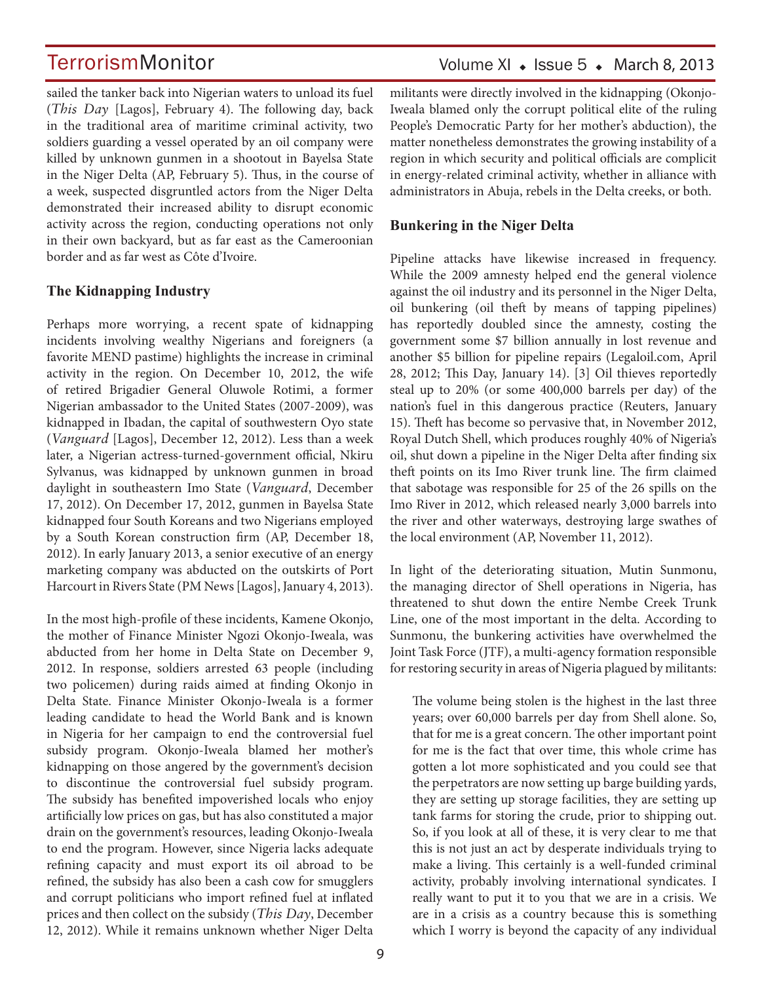sailed the tanker back into Nigerian waters to unload its fuel (*This Day* [Lagos], February 4). The following day, back in the traditional area of maritime criminal activity, two soldiers guarding a vessel operated by an oil company were killed by unknown gunmen in a shootout in Bayelsa State in the Niger Delta (AP, February 5). Thus, in the course of a week, suspected disgruntled actors from the Niger Delta demonstrated their increased ability to disrupt economic activity across the region, conducting operations not only in their own backyard, but as far east as the Cameroonian border and as far west as Côte d'Ivoire.

### **The Kidnapping Industry**

Perhaps more worrying, a recent spate of kidnapping incidents involving wealthy Nigerians and foreigners (a favorite MEND pastime) highlights the increase in criminal activity in the region. On December 10, 2012, the wife of retired Brigadier General Oluwole Rotimi, a former Nigerian ambassador to the United States (2007-2009), was kidnapped in Ibadan, the capital of southwestern Oyo state (*Vanguard* [Lagos], December 12, 2012). Less than a week later, a Nigerian actress-turned-government official, Nkiru Sylvanus, was kidnapped by unknown gunmen in broad daylight in southeastern Imo State (*Vanguard*, December 17, 2012). On December 17, 2012, gunmen in Bayelsa State kidnapped four South Koreans and two Nigerians employed by a South Korean construction firm (AP, December 18, 2012). In early January 2013, a senior executive of an energy marketing company was abducted on the outskirts of Port Harcourt in Rivers State (PM News [Lagos], January 4, 2013).

In the most high-profile of these incidents, Kamene Okonjo, the mother of Finance Minister Ngozi Okonjo-Iweala, was abducted from her home in Delta State on December 9, 2012. In response, soldiers arrested 63 people (including two policemen) during raids aimed at finding Okonjo in Delta State. Finance Minister Okonjo-Iweala is a former leading candidate to head the World Bank and is known in Nigeria for her campaign to end the controversial fuel subsidy program. Okonjo-Iweala blamed her mother's kidnapping on those angered by the government's decision to discontinue the controversial fuel subsidy program. The subsidy has benefited impoverished locals who enjoy artificially low prices on gas, but has also constituted a major drain on the government's resources, leading Okonjo-Iweala to end the program. However, since Nigeria lacks adequate refining capacity and must export its oil abroad to be refined, the subsidy has also been a cash cow for smugglers and corrupt politicians who import refined fuel at inflated prices and then collect on the subsidy (*This Day*, December 12, 2012). While it remains unknown whether Niger Delta militants were directly involved in the kidnapping (Okonjo-Iweala blamed only the corrupt political elite of the ruling People's Democratic Party for her mother's abduction), the matter nonetheless demonstrates the growing instability of a region in which security and political officials are complicit in energy-related criminal activity, whether in alliance with administrators in Abuja, rebels in the Delta creeks, or both.

### **Bunkering in the Niger Delta**

Pipeline attacks have likewise increased in frequency. While the 2009 amnesty helped end the general violence against the oil industry and its personnel in the Niger Delta, oil bunkering (oil theft by means of tapping pipelines) has reportedly doubled since the amnesty, costing the government some \$7 billion annually in lost revenue and another \$5 billion for pipeline repairs (Legaloil.com, April 28, 2012; This Day, January 14). [3] Oil thieves reportedly steal up to 20% (or some 400,000 barrels per day) of the nation's fuel in this dangerous practice (Reuters, January 15). Theft has become so pervasive that, in November 2012, Royal Dutch Shell, which produces roughly 40% of Nigeria's oil, shut down a pipeline in the Niger Delta after finding six theft points on its Imo River trunk line. The firm claimed that sabotage was responsible for 25 of the 26 spills on the Imo River in 2012, which released nearly 3,000 barrels into the river and other waterways, destroying large swathes of the local environment (AP, November 11, 2012).

In light of the deteriorating situation, Mutin Sunmonu, the managing director of Shell operations in Nigeria, has threatened to shut down the entire Nembe Creek Trunk Line, one of the most important in the delta. According to Sunmonu, the bunkering activities have overwhelmed the Joint Task Force (JTF), a multi-agency formation responsible for restoring security in areas of Nigeria plagued by militants:

The volume being stolen is the highest in the last three years; over 60,000 barrels per day from Shell alone. So, that for me is a great concern. The other important point for me is the fact that over time, this whole crime has gotten a lot more sophisticated and you could see that the perpetrators are now setting up barge building yards, they are setting up storage facilities, they are setting up tank farms for storing the crude, prior to shipping out. So, if you look at all of these, it is very clear to me that this is not just an act by desperate individuals trying to make a living. This certainly is a well-funded criminal activity, probably involving international syndicates. I really want to put it to you that we are in a crisis. We are in a crisis as a country because this is something which I worry is beyond the capacity of any individual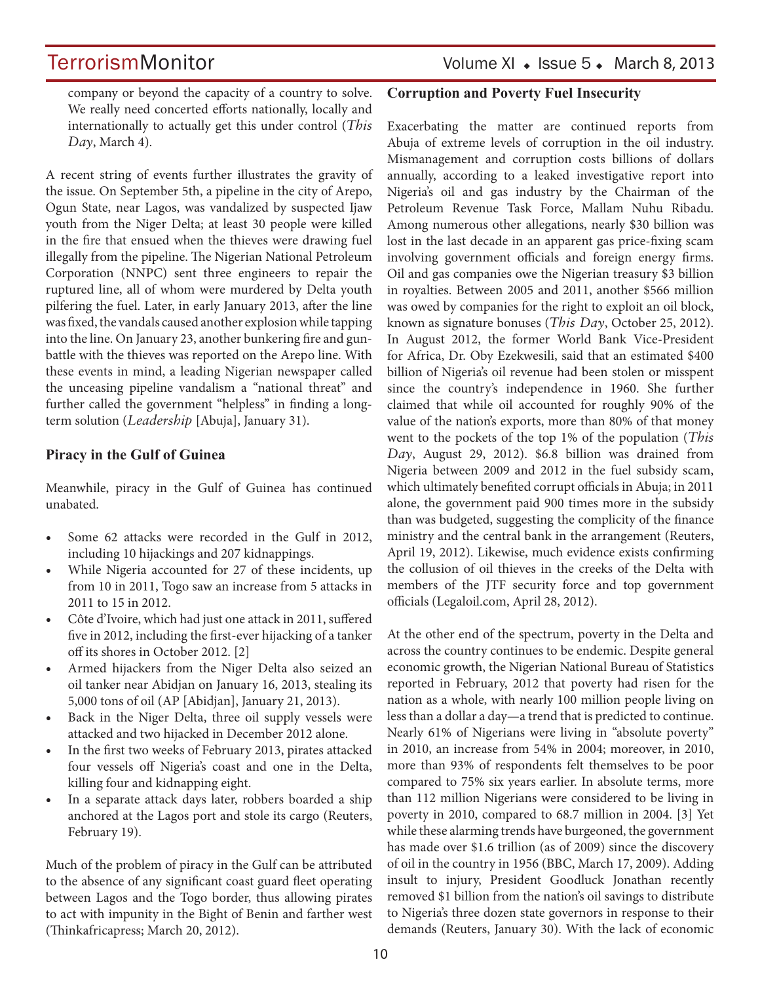TerrorismMonitor Volume XI + Issue 5 + March 8, 2013

company or beyond the capacity of a country to solve. We really need concerted efforts nationally, locally and internationally to actually get this under control (*This Day*, March 4).

A recent string of events further illustrates the gravity of the issue. On September 5th, a pipeline in the city of Arepo, Ogun State, near Lagos, was vandalized by suspected Ijaw youth from the Niger Delta; at least 30 people were killed in the fire that ensued when the thieves were drawing fuel illegally from the pipeline. The Nigerian National Petroleum Corporation (NNPC) sent three engineers to repair the ruptured line, all of whom were murdered by Delta youth pilfering the fuel. Later, in early January 2013, after the line was fixed, the vandals caused another explosion while tapping into the line. On January 23, another bunkering fire and gunbattle with the thieves was reported on the Arepo line. With these events in mind, a leading Nigerian newspaper called the unceasing pipeline vandalism a "national threat" and further called the government "helpless" in finding a longterm solution (*Leadership* [Abuja], January 31).

### **Piracy in the Gulf of Guinea**

Meanwhile, piracy in the Gulf of Guinea has continued unabated.

- Some 62 attacks were recorded in the Gulf in 2012, including 10 hijackings and 207 kidnappings.
- While Nigeria accounted for 27 of these incidents, up from 10 in 2011, Togo saw an increase from 5 attacks in 2011 to 15 in 2012.
- Côte d'Ivoire, which had just one attack in 2011, suffered five in 2012, including the first-ever hijacking of a tanker off its shores in October 2012. [2]
- Armed hijackers from the Niger Delta also seized an oil tanker near Abidjan on January 16, 2013, stealing its 5,000 tons of oil (AP [Abidjan], January 21, 2013).
- Back in the Niger Delta, three oil supply vessels were attacked and two hijacked in December 2012 alone.
- In the first two weeks of February 2013, pirates attacked four vessels off Nigeria's coast and one in the Delta, killing four and kidnapping eight.
- In a separate attack days later, robbers boarded a ship anchored at the Lagos port and stole its cargo (Reuters, February 19).

Much of the problem of piracy in the Gulf can be attributed to the absence of any significant coast guard fleet operating between Lagos and the Togo border, thus allowing pirates to act with impunity in the Bight of Benin and farther west (Thinkafricapress; March 20, 2012).

### **Corruption and Poverty Fuel Insecurity**

Exacerbating the matter are continued reports from Abuja of extreme levels of corruption in the oil industry. Mismanagement and corruption costs billions of dollars annually, according to a leaked investigative report into Nigeria's oil and gas industry by the Chairman of the Petroleum Revenue Task Force, Mallam Nuhu Ribadu. Among numerous other allegations, nearly \$30 billion was lost in the last decade in an apparent gas price-fixing scam involving government officials and foreign energy firms. Oil and gas companies owe the Nigerian treasury \$3 billion in royalties. Between 2005 and 2011, another \$566 million was owed by companies for the right to exploit an oil block, known as signature bonuses (*This Day*, October 25, 2012). In August 2012, the former World Bank Vice-President for Africa, Dr. Oby Ezekwesili, said that an estimated \$400 billion of Nigeria's oil revenue had been stolen or misspent since the country's independence in 1960. She further claimed that while oil accounted for roughly 90% of the value of the nation's exports, more than 80% of that money went to the pockets of the top 1% of the population (*This Day*, August 29, 2012). \$6.8 billion was drained from Nigeria between 2009 and 2012 in the fuel subsidy scam, which ultimately benefited corrupt officials in Abuja; in 2011 alone, the government paid 900 times more in the subsidy than was budgeted, suggesting the complicity of the finance ministry and the central bank in the arrangement (Reuters, April 19, 2012). Likewise, much evidence exists confirming the collusion of oil thieves in the creeks of the Delta with members of the JTF security force and top government officials (Legaloil.com, April 28, 2012).

At the other end of the spectrum, poverty in the Delta and across the country continues to be endemic. Despite general economic growth, the Nigerian National Bureau of Statistics reported in February, 2012 that poverty had risen for the nation as a whole, with nearly 100 million people living on less than a dollar a day—a trend that is predicted to continue. Nearly 61% of Nigerians were living in "absolute poverty" in 2010, an increase from 54% in 2004; moreover, in 2010, more than 93% of respondents felt themselves to be poor compared to 75% six years earlier. In absolute terms, more than 112 million Nigerians were considered to be living in poverty in 2010, compared to 68.7 million in 2004. [3] Yet while these alarming trends have burgeoned, the government has made over \$1.6 trillion (as of 2009) since the discovery of oil in the country in 1956 (BBC, March 17, 2009). Adding insult to injury, President Goodluck Jonathan recently removed \$1 billion from the nation's oil savings to distribute to Nigeria's three dozen state governors in response to their demands (Reuters, January 30). With the lack of economic